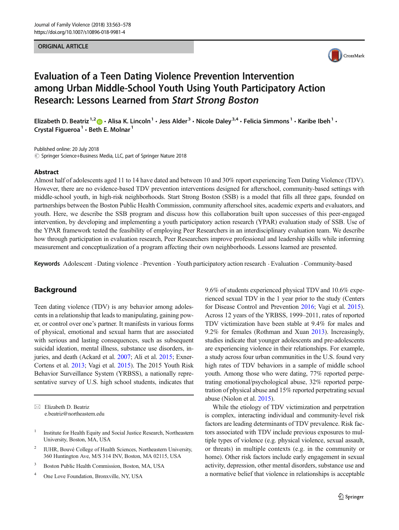### ORIGINAL ARTICLE



# Evaluation of a Teen Dating Violence Prevention Intervention among Urban Middle-School Youth Using Youth Participatory Action Research: Lessons Learned from Start Strong Boston

Elizabeth D. Beatriz <sup>1,2</sup>  $\bullet$  · Alisa K. Lincoln<sup>1</sup> · Jess Alder<sup>3</sup> · Nicole Daley<sup>3,4</sup> · Felicia Simmons<sup>1</sup> · Karibe Ibeh<sup>1</sup> · Crystal Figueroa<sup>1</sup>  $\cdot$  Beth E. Molnar<sup>1</sup>

Published online: 20 July 2018  $\circled{c}$  Springer Science+Business Media, LLC, part of Springer Nature 2018

#### Abstract

Almost half of adolescents aged 11 to 14 have dated and between 10 and 30% report experiencing Teen Dating Violence (TDV). However, there are no evidence-based TDV prevention interventions designed for afterschool, community-based settings with middle-school youth, in high-risk neighborhoods. Start Strong Boston (SSB) is a model that fills all three gaps, founded on partnerships between the Boston Public Health Commission, community afterschool sites, academic experts and evaluators, and youth. Here, we describe the SSB program and discuss how this collaboration built upon successes of this peer-engaged intervention, by developing and implementing a youth participatory action research (YPAR) evaluation study of SSB. Use of the YPAR framework tested the feasibility of employing Peer Researchers in an interdisciplinary evaluation team. We describe how through participation in evaluation research, Peer Researchers improve professional and leadership skills while informing measurement and conceptualization of a program affecting their own neighborhoods. Lessons learned are presented.

Keywords Adolescent · Dating violence · Prevention · Youth participatory action research · Evaluation · Community-based

## **Background**

Teen dating violence (TDV) is any behavior among adolescents in a relationship that leads to manipulating, gaining power, or control over one's partner. It manifests in various forms of physical, emotional and sexual harm that are associated with serious and lasting consequences, such as subsequent suicidal ideation, mental illness, substance use disorders, in-juries, and death (Ackard et al. [2007;](#page-14-0) Ali et al. [2015](#page-14-0); Exner-Cortens et al. [2013](#page-14-0); Vagi et al. [2015](#page-15-0)). The 2015 Youth Risk Behavior Surveillance System (YRBSS), a nationally representative survey of U.S. high school students, indicates that

 $\boxtimes$  Elizabeth D. Beatriz [e.beatriz@northeastern.edu](mailto:e.beatriz@northeastern.edu)

- <sup>2</sup> IUHR, Bouvé College of Health Sciences, Northeastern University, 360 Huntington Ave, M/S 314 INV, Boston, MA 02115, USA
- <sup>3</sup> Boston Public Health Commission, Boston, MA, USA
- <sup>4</sup> One Love Foundation, Bronxville, NY, USA

9.6% of students experienced physical TDV and 10.6% experienced sexual TDV in the 1 year prior to the study (Centers for Disease Control and Prevention [2016](#page-14-0); Vagi et al. [2015\)](#page-15-0). Across 12 years of the YRBSS, 1999–2011, rates of reported TDV victimization have been stable at 9.4% for males and 9.2% for females (Rothman and Xuan [2013\)](#page-15-0). Increasingly, studies indicate that younger adolescents and pre-adolescents are experiencing violence in their relationships. For example, a study across four urban communities in the U.S. found very high rates of TDV behaviors in a sample of middle school youth. Among those who were dating, 77% reported perpetrating emotional/psychological abuse, 32% reported perpetration of physical abuse and 15% reported perpetrating sexual abuse (Niolon et al. [2015\)](#page-15-0).

While the etiology of TDV victimization and perpetration is complex, interacting individual and community-level risk factors are leading determinants of TDV prevalence. Risk factors associated with TDV include previous exposures to multiple types of violence (e.g. physical violence, sexual assault, or threats) in multiple contexts (e.g. in the community or home). Other risk factors include early engagement in sexual activity, depression, other mental disorders, substance use and a normative belief that violence in relationships is acceptable

<sup>&</sup>lt;sup>1</sup> Institute for Health Equity and Social Justice Research, Northeastern University, Boston, MA, USA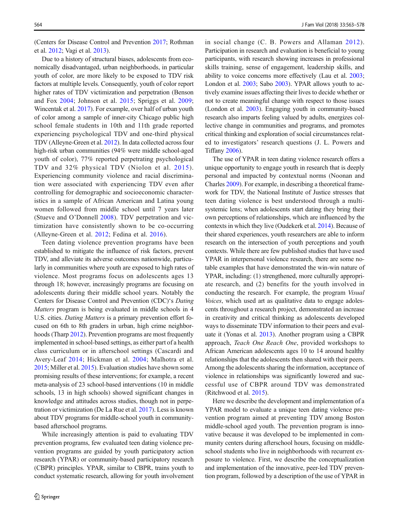(Centers for Disease Control and Prevention [2017;](#page-14-0) Rothman et al. [2012](#page-15-0); Vagi et al. [2013\)](#page-15-0).

Due to a history of structural biases, adolescents from economically disadvantaged, urban neighborhoods, in particular youth of color, are more likely to be exposed to TDV risk factors at multiple levels. Consequently, youth of color report higher rates of TDV victimization and perpetration (Benson and Fox [2004;](#page-14-0) Johnson et al. [2015](#page-14-0); Spriggs et al. [2009](#page-15-0); Wincentak et al. [2017](#page-15-0)). For example, over half of urban youth of color among a sample of inner-city Chicago public high school female students in 10th and 11th grade reported experiencing psychological TDV and one-third physical TDV (Alleyne-Green et al. [2012\)](#page-14-0). In data collected across four high-risk urban communities (94% were middle school-aged youth of color), 77% reported perpetrating psychological TDV and 32% physical TDV (Niolon et al. [2015\)](#page-15-0). Experiencing community violence and racial discrimination were associated with experiencing TDV even after controlling for demographic and socioeconomic characteristics in a sample of African American and Latina young women followed from middle school until 7 years later (Stueve and O'Donnell [2008](#page-15-0)). TDV perpetration and victimization have consistently shown to be co-occurring (Alleyne-Green et al. [2012](#page-14-0); Fedina et al. [2016\)](#page-14-0).

Teen dating violence prevention programs have been established to mitigate the influence of risk factors, prevent TDV, and alleviate its adverse outcomes nationwide, particularly in communities where youth are exposed to high rates of violence. Most programs focus on adolescents ages 13 through 18; however, increasingly programs are focusing on adolescents during their middle school years. Notably the Centers for Disease Control and Prevention (CDC)'s Dating Matters program is being evaluated in middle schools in 4 U.S. cities. Dating Matters is a primary prevention effort focused on 6th to 8th graders in urban, high crime neighborhoods (Tharp [2012](#page-15-0)). Prevention programs are most frequently implemented in school-based settings, as either part of a health class curriculum or in afterschool settings (Cascardi and Avery-Leaf [2014](#page-14-0); Hickman et al. [2004;](#page-14-0) Malhotra et al. [2015;](#page-14-0) Miller et al. [2015\)](#page-15-0). Evaluation studies have shown some promising results of these interventions; for example, a recent meta-analysis of 23 school-based interventions (10 in middle schools, 13 in high schools) showed significant changes in knowledge and attitudes across studies, though not in perpetration or victimization (De La Rue et al. [2017\)](#page-14-0). Less is known about TDV programs for middle-school youth in communitybased afterschool programs.

While increasingly attention is paid to evaluating TDV prevention programs, few evaluated teen dating violence prevention programs are guided by youth participatory action research (YPAR) or community-based participatory research (CBPR) principles. YPAR, similar to CBPR, trains youth to conduct systematic research, allowing for youth involvement in social change (C. B. Powers and Allaman [2012](#page-15-0)). Participation in research and evaluation is beneficial to young participants, with research showing increases in professional skills training, sense of engagement, leadership skills, and ability to voice concerns more effectively (Lau et al. [2003;](#page-14-0) London et al. [2003](#page-14-0); Sabo [2003](#page-15-0)). YPAR allows youth to actively examine issues affecting their lives to decide whether or not to create meaningful change with respect to those issues (London et al. [2003\)](#page-14-0). Engaging youth in community-based research also imparts feeling valued by adults, energizes collective change in communities and programs, and promotes critical thinking and exploration of social circumstances related to investigators' research questions (J. L. Powers and Tiffany [2006\)](#page-15-0).

The use of YPAR in teen dating violence research offers a unique opportunity to engage youth in research that is deeply personal and impacted by contextual norms (Noonan and Charles [2009](#page-15-0)). For example, in describing a theoretical framework for TDV, the National Institute of Justice stresses that teen dating violence is best understood through a multisystemic lens; when adolescents start dating they bring their own perceptions of relationships, which are influenced by the contexts in which they live (Oudekerk et al. [2014](#page-15-0)). Because of their shared experiences, youth researchers are able to inform research on the intersection of youth perceptions and youth contexts. While there are few published studies that have used YPAR in interpersonal violence research, there are some notable examples that have demonstrated the win-win nature of YPAR, including: (1) strengthened, more culturally appropriate research, and (2) benefits for the youth involved in conducting the research. For example, the program Visual Voices, which used art as qualitative data to engage adolescents throughout a research project, demonstrated an increase in creativity and critical thinking as adolescents developed ways to disseminate TDV information to their peers and evaluate it (Yonas et al. [2013\)](#page-15-0). Another program using a CBPR approach, Teach One Reach One, provided workshops to African American adolescents ages 10 to 14 around healthy relationships that the adolescents then shared with their peers. Among the adolescents sharing the information, acceptance of violence in relationships was significantly lowered and successful use of CBPR around TDV was demonstrated (Ritchwood et al. [2015\)](#page-15-0).

Here we describe the development and implementation of a YPAR model to evaluate a unique teen dating violence prevention program aimed at preventing TDV among Boston middle-school aged youth. The prevention program is innovative because it was developed to be implemented in community centers during afterschool hours, focusing on middleschool students who live in neighborhoods with recurrent exposure to violence. First, we describe the conceptualization and implementation of the innovative, peer-led TDV prevention program, followed by a description of the use of YPAR in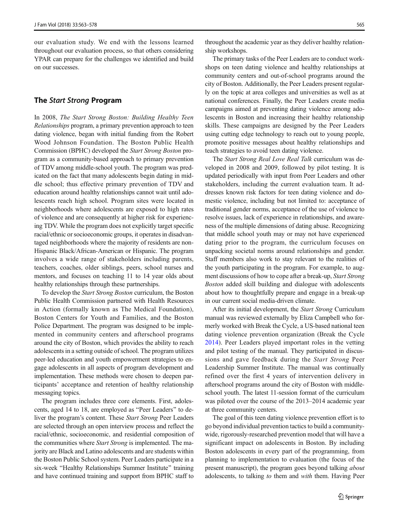our evaluation study. We end with the lessons learned throughout our evaluation process, so that others considering YPAR can prepare for the challenges we identified and build on our successes.

### The Start Strong Program

In 2008, The Start Strong Boston: Building Healthy Teen Relationships program, a primary prevention approach to teen dating violence, began with initial funding from the Robert Wood Johnson Foundation. The Boston Public Health Commission (BPHC) developed the Start Strong Boston program as a community-based approach to primary prevention of TDV among middle-school youth. The program was predicated on the fact that many adolescents begin dating in middle school; thus effective primary prevention of TDV and education around healthy relationships cannot wait until adolescents reach high school. Program sites were located in neighborhoods where adolescents are exposed to high rates of violence and are consequently at higher risk for experiencing TDV. While the program does not explicitly target specific racial/ethnic or socioeconomic groups, it operates in disadvantaged neighborhoods where the majority of residents are non-Hispanic Black/African-American or Hispanic. The program involves a wide range of stakeholders including parents, teachers, coaches, older siblings, peers, school nurses and mentors, and focuses on teaching 11 to 14 year olds about healthy relationships through these partnerships.

To develop the Start Strong Boston curriculum, the Boston Public Health Commission partnered with Health Resources in Action (formally known as The Medical Foundation), Boston Centers for Youth and Families, and the Boston Police Department. The program was designed to be implemented in community centers and afterschool programs around the city of Boston, which provides the ability to reach adolescents in a setting outside of school. The program utilizes peer-led education and youth empowerment strategies to engage adolescents in all aspects of program development and implementation. These methods were chosen to deepen participants' acceptance and retention of healthy relationship messaging topics.

The program includes three core elements. First, adolescents, aged 14 to 18, are employed as "Peer Leaders" to deliver the program's content. These *Start Strong* Peer Leaders are selected through an open interview process and reflect the racial/ethnic, socioeconomic, and residential composition of the communities where *Start Strong* is implemented. The majority are Black and Latino adolescents and are students within the Boston Public School system. Peer Leaders participate in a six-week "Healthy Relationships Summer Institute" training and have continued training and support from BPHC staff to

throughout the academic year as they deliver healthy relationship workshops.

The primary tasks of the Peer Leaders are to conduct workshops on teen dating violence and healthy relationships at community centers and out-of-school programs around the city of Boston. Additionally, the Peer Leaders present regularly on the topic at area colleges and universities as well as at national conferences. Finally, the Peer Leaders create media campaigns aimed at preventing dating violence among adolescents in Boston and increasing their healthy relationship skills. These campaigns are designed by the Peer Leaders using cutting edge technology to reach out to young people, promote positive messages about healthy relationships and teach strategies to avoid teen dating violence.

The Start Strong Real Love Real Talk curriculum was developed in 2008 and 2009, followed by pilot testing. It is updated periodically with input from Peer Leaders and other stakeholders, including the current evaluation team. It addresses known risk factors for teen dating violence and domestic violence, including but not limited to: acceptance of traditional gender norms, acceptance of the use of violence to resolve issues, lack of experience in relationships, and awareness of the multiple dimensions of dating abuse. Recognizing that middle school youth may or may not have experienced dating prior to the program, the curriculum focuses on unpacking societal norms around relationships and gender. Staff members also work to stay relevant to the realities of the youth participating in the program. For example, to augment discussions of how to cope after a break-up, Start Strong Boston added skill building and dialogue with adolescents about how to thoughtfully prepare and engage in a break-up in our current social media-driven climate.

After its initial development, the *Start Strong* Curriculum manual was reviewed externally by Eliza Campbell who formerly worked with Break the Cycle, a US-based national teen dating violence prevention organization (Break the Cycle [2014](#page-14-0)). Peer Leaders played important roles in the vetting and pilot testing of the manual. They participated in discussions and gave feedback during the Start Strong Peer Leadership Summer Institute. The manual was continually refined over the first 4 years of intervention delivery in afterschool programs around the city of Boston with middleschool youth. The latest 11-session format of the curriculum was piloted over the course of the 2013–2014 academic year at three community centers.

The goal of this teen dating violence prevention effort is to go beyond individual prevention tactics to build a communitywide, rigorously-researched prevention model that will have a significant impact on adolescents in Boston. By including Boston adolescents in every part of the programming, from planning to implementation to evaluation (the focus of the present manuscript), the program goes beyond talking about adolescents, to talking to them and with them. Having Peer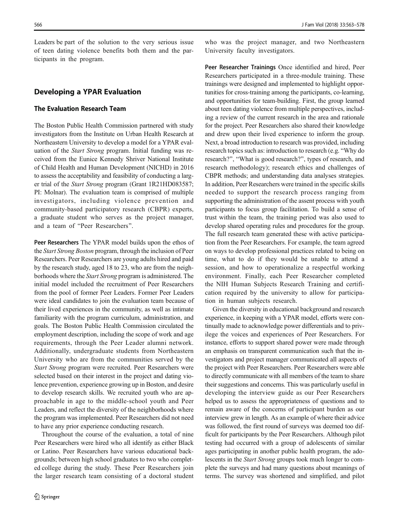Leaders be part of the solution to the very serious issue of teen dating violence benefits both them and the participants in the program.

### Developing a YPAR Evaluation

### The Evaluation Research Team

The Boston Public Health Commission partnered with study investigators from the Institute on Urban Health Research at Northeastern University to develop a model for a YPAR evaluation of the Start Strong program. Initial funding was received from the Eunice Kennedy Shriver National Institute of Child Health and Human Development (NICHD) in 2016 to assess the acceptability and feasibility of conducting a larger trial of the Start Strong program (Grant 1R21HD083587; PI: Molnar). The evaluation team is comprised of multiple investigators, including violence prevention and community-based participatory research (CBPR) experts, a graduate student who serves as the project manager, and a team of "Peer Researchers".

Peer Researchers The YPAR model builds upon the ethos of the Start Strong Boston program, through the inclusion of Peer Researchers. Peer Researchers are young adults hired and paid by the research study, aged 18 to 23, who are from the neighborhoods where the Start Strong program is administered. The initial model included the recruitment of Peer Researchers from the pool of former Peer Leaders. Former Peer Leaders were ideal candidates to join the evaluation team because of their lived experiences in the community, as well as intimate familiarity with the program curriculum, administration, and goals. The Boston Public Health Commission circulated the employment description, including the scope of work and age requirements, through the Peer Leader alumni network. Additionally, undergraduate students from Northeastern University who are from the communities served by the Start Strong program were recruited. Peer Researchers were selected based on their interest in the project and dating violence prevention, experience growing up in Boston, and desire to develop research skills. We recruited youth who are approachable in age to the middle-school youth and Peer Leaders, and reflect the diversity of the neighborhoods where the program was implemented. Peer Researchers did not need to have any prior experience conducting research.

Throughout the course of the evaluation, a total of nine Peer Researchers were hired who all identify as either Black or Latino. Peer Researchers have various educational backgrounds; between high school graduates to two who completed college during the study. These Peer Researchers join the larger research team consisting of a doctoral student who was the project manager, and two Northeastern University faculty investigators.

Peer Researcher Trainings Once identified and hired, Peer Researchers participated in a three-module training. These trainings were designed and implemented to highlight opportunities for cross-training among the participants, co-learning, and opportunities for team-building. First, the group learned about teen dating violence from multiple perspectives, including a review of the current research in the area and rationale for the project. Peer Researchers also shared their knowledge and drew upon their lived experience to inform the group. Next, a broad introduction to research was provided, including research topics such as: introduction to research (e.g. "Why do research?", "What is good research?", types of research, and research methodology); research ethics and challenges of CBPR methods; and understanding data analyses strategies. In addition, Peer Researchers were trained in the specific skills needed to support the research process ranging from supporting the administration of the assent process with youth participants to focus group facilitation. To build a sense of trust within the team, the training period was also used to develop shared operating rules and procedures for the group. The full research team generated these with active participation from the Peer Researchers. For example, the team agreed on ways to develop professional practices related to being on time, what to do if they would be unable to attend a session, and how to operationalize a respectful working environment. Finally, each Peer Researcher completed the NIH Human Subjects Research Training and certification required by the university to allow for participation in human subjects research.

Given the diversity in educational background and research experience, in keeping with a YPAR model, efforts were continually made to acknowledge power differentials and to privilege the voices and experiences of Peer Researchers. For instance, efforts to support shared power were made through an emphasis on transparent communication such that the investigators and project manager communicated all aspects of the project with Peer Researchers. Peer Researchers were able to directly communicate with all members of the team to share their suggestions and concerns. This was particularly useful in developing the interview guide as our Peer Researchers helped us to assess the appropriateness of questions and to remain aware of the concerns of participant burden as our interview grew in length. As an example of where their advice was followed, the first round of surveys was deemed too difficult for participants by the Peer Researchers. Although pilot testing had occurred with a group of adolescents of similar ages participating in another public health program, the adolescents in the Start Strong groups took much longer to complete the surveys and had many questions about meanings of terms. The survey was shortened and simplified, and pilot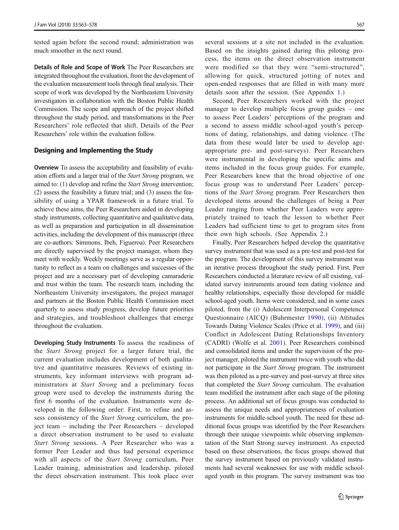tested again before the second round; administration was much smoother in the next round.

Details of Role and Scope of Work The Peer Researchers are integrated throughout the evaluation, from the development of the evaluation measurement tools through final analysis. Their scope of work was developed by the Northeastern University investigators in collaboration with the Boston Public Health Commission. The scope and approach of the project shifted throughout the study period, and transformations in the Peer Researchers' role reflected that shift. Details of the Peer Researchers' role within the evaluation follow.

### Designing and Implementing the Study

Overview To assess the acceptability and feasibility of evaluation efforts and a larger trial of the Start Strong program, we aimed to: (1) develop and refine the Start Strong intervention; (2) assess the feasibility a future trial; and (3) assess the feasibility of using a YPAR framework in a future trial. To achieve these aims, the Peer Researchers aided in developing study instruments, collecting quantitative and qualitative data, as well as preparation and participation in all dissemination activities, including the development of this manuscript (three are co-authors: Simmons, Ibeh, Figueroa). Peer Researchers are directly supervised by the project manager, whom they meet with weekly. Weekly meetings serve as a regular opportunity to reflect as a team on challenges and successes of the project and are a necessary part of developing camaraderie and trust within the team. The research team, including the Northeastern University investigators, the project manager and partners at the Boston Public Health Commission meet quarterly to assess study progress, develop future priorities and strategies, and troubleshoot challenges that emerge throughout the evaluation.

Developing Study Instruments To assess the readiness of the Start Strong project for a larger future trial, the current evaluation includes development of both qualitative and quantitative measures. Reviews of existing instruments, key informant interviews with program administrators at Start Strong and a preliminary focus group were used to develop the instruments during the first 6 months of the evaluation. Instruments were developed in the following order: First, to refine and assess consistency of the Start Strong curriculum, the project team – including the Peer Researchers – developed a direct observation instrument to be used to evaluate Start Strong sessions. A Peer Researcher who was a former Peer Leader and thus had personal experience with all aspects of the Start Strong curriculum, Peer Leader training, administration and leadership, piloted the direct observation instrument. This took place over

several sessions at a site not included in the evaluation. Based on the insights gained during this piloting process, the items on the direct observation instrument were modified so that they were "semi-structured", allowing for quick, structured jotting of notes and open-ended responses that are filled in with many more details soon after the session. (See Appendix 1.)

Second, Peer Researchers worked with the project manager to develop multiple focus group guides – one to assess Peer Leaders' perceptions of the program and a second to assess middle school-aged youth's perceptions of dating, relationships, and dating violence. (The data from these would later be used to develop ageappropriate pre- and post-surveys). Peer Researchers were instrumental in developing the specific aims and items included in the focus group guides. For example, Peer Researchers knew that the broad objective of one focus group was to understand Peer Leaders' perceptions of the Start Strong program. Peer Researchers then developed items around the challenges of being a Peer Leader ranging from whether Peer Leaders were appropriately trained to teach the lesson to whether Peer Leaders had sufficient time to get to program sites from their own high schools. (See Appendix [2](#page-13-0).)

Finally, Peer Researchers helped develop the quantitative survey instrument that was used as a pre-test and post-test for the program. The development of this survey instrument was an iterative process throughout the study period. First, Peer Researchers conducted a literature review of all existing, validated survey instruments around teen dating violence and healthy relationships, especially those developed for middle school-aged youth. Items were considered, and in some cases piloted, from the (i) Adolescent Interpersonal Competence Questionnaire (AICQ) (Buhrmester [1990\)](#page-14-0), (ii) Attitudes Towards Dating Violence Scales (Price et al. [1999](#page-15-0)), and (iii) Conflict in Adolescent Dating Relationships Inventory (CADRI) (Wolfe et al. [2001\)](#page-15-0). Peer Researchers combined and consolidated items and under the supervision of the project manager, piloted the instrument twice with youth who did not participate in the Start Strong program. The instrument was then piloted as a pre-survey and post-survey at three sites that completed the Start Strong curriculum. The evaluation team modified the instrument after each stage of the piloting process. An additional set of focus groups was conducted to assess the unique needs and appropriateness of evaluation instruments for middle-school youth. The need for these additional focus groups was identified by the Peer Researchers through their unique viewpoints while observing implementation of the Start Strong survey instrument. As expected based on these observations, the focus groups showed that the survey instrument based on previously validated instruments had several weaknesses for use with middle schoolaged youth in this program. The survey instrument was too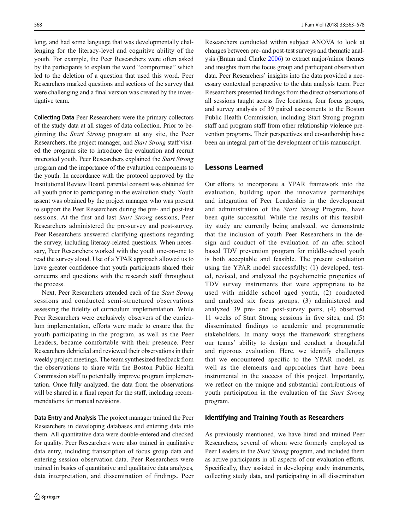long, and had some language that was developmentally challenging for the literacy-level and cognitive ability of the youth. For example, the Peer Researchers were often asked by the participants to explain the word "compromise" which led to the deletion of a question that used this word. Peer Researchers marked questions and sections of the survey that were challenging and a final version was created by the investigative team.

Collecting Data Peer Researchers were the primary collectors of the study data at all stages of data collection. Prior to beginning the Start Strong program at any site, the Peer Researchers, the project manager, and Start Strong staff visited the program site to introduce the evaluation and recruit interested youth. Peer Researchers explained the Start Strong program and the importance of the evaluation components to the youth. In accordance with the protocol approved by the Institutional Review Board, parental consent was obtained for all youth prior to participating in the evaluation study. Youth assent was obtained by the project manager who was present to support the Peer Researchers during the pre- and post-test sessions. At the first and last Start Strong sessions, Peer Researchers administered the pre-survey and post-survey. Peer Researchers answered clarifying questions regarding the survey, including literacy-related questions. When necessary, Peer Researchers worked with the youth one-on-one to read the survey aloud. Use of a YPAR approach allowed us to have greater confidence that youth participants shared their concerns and questions with the research staff throughout the process.

Next, Peer Researchers attended each of the Start Strong sessions and conducted semi-structured observations assessing the fidelity of curriculum implementation. While Peer Researchers were exclusively observers of the curriculum implementation, efforts were made to ensure that the youth participating in the program, as well as the Peer Leaders, became comfortable with their presence. Peer Researchers debriefed and reviewed their observations in their weekly project meetings. The team synthesized feedback from the observations to share with the Boston Public Health Commission staff to potentially improve program implementation. Once fully analyzed, the data from the observations will be shared in a final report for the staff, including recommendations for manual revisions.

Data Entry and Analysis The project manager trained the Peer Researchers in developing databases and entering data into them. All quantitative data were double-entered and checked for quality. Peer Researchers were also trained in qualitative data entry, including transcription of focus group data and entering session observation data. Peer Researchers were trained in basics of quantitative and qualitative data analyses, data interpretation, and dissemination of findings. Peer

Researchers conducted within subject ANOVA to look at changes between pre- and post-test surveys and thematic analysis (Braun and Clarke [2006\)](#page-14-0) to extract major/minor themes and insights from the focus group and participant observation data. Peer Researchers' insights into the data provided a necessary contextual perspective to the data analysis team. Peer Researchers presented findings from the direct observations of all sessions taught across five locations, four focus groups, and survey analysis of 39 paired assessments to the Boston Public Health Commission, including Start Strong program staff and program staff from other relationship violence prevention programs. Their perspectives and co-authorship have been an integral part of the development of this manuscript.

### Lessons Learned

Our efforts to incorporate a YPAR framework into the evaluation, building upon the innovative partnerships and integration of Peer Leadership in the development and administration of the Start Strong Program, have been quite successful. While the results of this feasibility study are currently being analyzed, we demonstrate that the inclusion of youth Peer Researchers in the design and conduct of the evaluation of an after-school based TDV prevention program for middle-school youth is both acceptable and feasible. The present evaluation using the YPAR model successfully: (1) developed, tested, revised, and analyzed the psychometric properties of TDV survey instruments that were appropriate to be used with middle school aged youth, (2) conducted and analyzed six focus groups, (3) administered and analyzed 39 pre- and post-survey pairs, (4) observed 11 weeks of Start Strong sessions in five sites, and (5) disseminated findings to academic and programmatic stakeholders. In many ways the framework strengthens our teams' ability to design and conduct a thoughtful and rigorous evaluation. Here, we identify challenges that we encountered specific to the YPAR model, as well as the elements and approaches that have been instrumental in the success of this project. Importantly, we reflect on the unique and substantial contributions of youth participation in the evaluation of the Start Strong program.

## Identifying and Training Youth as Researchers

As previously mentioned, we have hired and trained Peer Researchers, several of whom were formerly employed as Peer Leaders in the *Start Strong* program, and included them as active participants in all aspects of our evaluation efforts. Specifically, they assisted in developing study instruments, collecting study data, and participating in all dissemination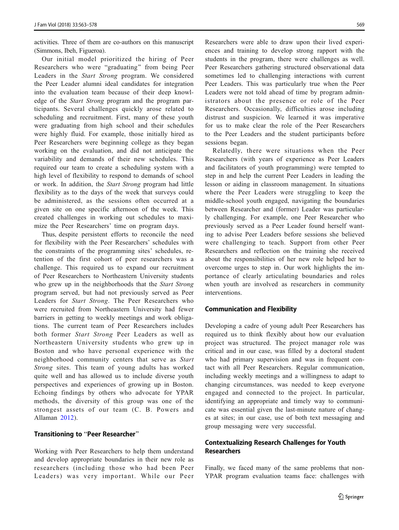activities. Three of them are co-authors on this manuscript (Simmons, Ibeh, Figueroa).

Our initial model prioritized the hiring of Peer Researchers who were "graduating" from being Peer Leaders in the Start Strong program. We considered the Peer Leader alumni ideal candidates for integration into the evaluation team because of their deep knowledge of the Start Strong program and the program participants. Several challenges quickly arose related to scheduling and recruitment. First, many of these youth were graduating from high school and their schedules were highly fluid. For example, those initially hired as Peer Researchers were beginning college as they began working on the evaluation, and did not anticipate the variability and demands of their new schedules. This required our team to create a scheduling system with a high level of flexibility to respond to demands of school or work. In addition, the Start Strong program had little flexibility as to the days of the week that surveys could be administered, as the sessions often occurred at a given site on one specific afternoon of the week. This created challenges in working out schedules to maximize the Peer Researchers' time on program days.

Thus, despite persistent efforts to reconcile the need for flexibility with the Peer Researchers' schedules with the constraints of the programming sites' schedules, retention of the first cohort of peer researchers was a challenge. This required us to expand our recruitment of Peer Researchers to Northeastern University students who grew up in the neighborhoods that the Start Strong program served, but had not previously served as Peer Leaders for Start Strong. The Peer Researchers who were recruited from Northeastern University had fewer barriers in getting to weekly meetings and work obligations. The current team of Peer Researchers includes both former Start Strong Peer Leaders as well as Northeastern University students who grew up in Boston and who have personal experience with the neighborhood community centers that serve as Start Strong sites. This team of young adults has worked quite well and has allowed us to include diverse youth perspectives and experiences of growing up in Boston. Echoing findings by others who advocate for YPAR methods, the diversity of this group was one of the strongest assets of our team (C. B. Powers and Allaman [2012\)](#page-15-0).

### Transitioning to "Peer Researcher"

Working with Peer Researchers to help them understand and develop appropriate boundaries in their new role as researchers (including those who had been Peer Leaders) was very important. While our Peer

Researchers were able to draw upon their lived experiences and training to develop strong rapport with the students in the program, there were challenges as well. Peer Researchers gathering structured observational data sometimes led to challenging interactions with current Peer Leaders. This was particularly true when the Peer Leaders were not told ahead of time by program administrators about the presence or role of the Peer Researchers. Occasionally, difficulties arose including distrust and suspicion. We learned it was imperative for us to make clear the role of the Peer Researchers to the Peer Leaders and the student participants before sessions began.

Relatedly, there were situations when the Peer Researchers (with years of experience as Peer Leaders and facilitators of youth programming) were tempted to step in and help the current Peer Leaders in leading the lesson or aiding in classroom management. In situations where the Peer Leaders were struggling to keep the middle-school youth engaged, navigating the boundaries between Researcher and (former) Leader was particularly challenging. For example, one Peer Researcher who previously served as a Peer Leader found herself wanting to advise Peer Leaders before sessions she believed were challenging to teach. Support from other Peer Researchers and reflection on the training she received about the responsibilities of her new role helped her to overcome urges to step in. Our work highlights the importance of clearly articulating boundaries and roles when youth are involved as researchers in community interventions.

#### Communication and Flexibility

Developing a cadre of young adult Peer Researchers has required us to think flexibly about how our evaluation project was structured. The project manager role was critical and in our case, was filled by a doctoral student who had primary supervision and was in frequent contact with all Peer Researchers. Regular communication, including weekly meetings and a willingness to adapt to changing circumstances, was needed to keep everyone engaged and connected to the project. In particular, identifying an appropriate and timely way to communicate was essential given the last-minute nature of changes at sites; in our case, use of both text messaging and group messaging were very successful.

## Contextualizing Research Challenges for Youth **Researchers**

Finally, we faced many of the same problems that non-YPAR program evaluation teams face: challenges with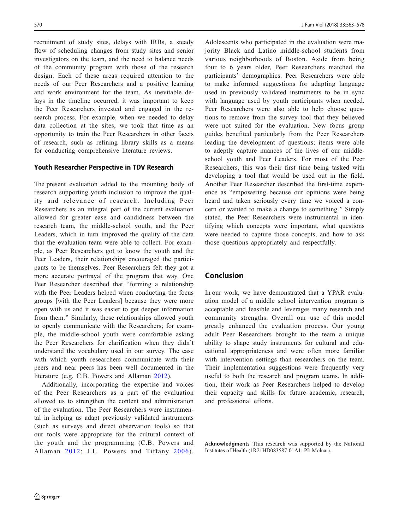recruitment of study sites, delays with IRBs, a steady flow of scheduling changes from study sites and senior investigators on the team, and the need to balance needs of the community program with those of the research design. Each of these areas required attention to the needs of our Peer Researchers and a positive learning and work environment for the team. As inevitable delays in the timeline occurred, it was important to keep the Peer Researchers invested and engaged in the research process. For example, when we needed to delay data collection at the sites, we took that time as an opportunity to train the Peer Researchers in other facets of research, such as refining library skills as a means for conducting comprehensive literature reviews.

### Youth Researcher Perspective in TDV Research

The present evaluation added to the mounting body of research supporting youth inclusion to improve the quality and relevance of research. Including Peer Researchers as an integral part of the current evaluation allowed for greater ease and candidness between the research team, the middle-school youth, and the Peer Leaders, which in turn improved the quality of the data that the evaluation team were able to collect. For example, as Peer Researchers got to know the youth and the Peer Leaders, their relationships encouraged the participants to be themselves. Peer Researchers felt they got a more accurate portrayal of the program that way. One Peer Researcher described that "forming a relationship with the Peer Leaders helped when conducting the focus groups [with the Peer Leaders] because they were more open with us and it was easier to get deeper information from them." Similarly, these relationships allowed youth to openly communicate with the Researchers; for example, the middle-school youth were comfortable asking the Peer Researchers for clarification when they didn't understand the vocabulary used in our survey. The ease with which youth researchers communicate with their peers and near peers has been well documented in the literature (e.g. C.B. Powers and Allaman [2012](#page-15-0)).

Additionally, incorporating the expertise and voices of the Peer Researchers as a part of the evaluation allowed us to strengthen the content and administration of the evaluation. The Peer Researchers were instrumental in helping us adapt previously validated instruments (such as surveys and direct observation tools) so that our tools were appropriate for the cultural context of the youth and the programming (C.B. Powers and Allaman [2012](#page-15-0); J.L. Powers and Tiffany [2006\)](#page-15-0).

Adolescents who participated in the evaluation were majority Black and Latino middle-school students from various neighborhoods of Boston. Aside from being four to 6 years older, Peer Researchers matched the participants' demographics. Peer Researchers were able to make informed suggestions for adapting language used in previously validated instruments to be in sync with language used by youth participants when needed. Peer Researchers were also able to help choose questions to remove from the survey tool that they believed were not suited for the evaluation. New focus group guides benefited particularly from the Peer Researchers leading the development of questions; items were able to adeptly capture nuances of the lives of our middleschool youth and Peer Leaders. For most of the Peer Researchers, this was their first time being tasked with developing a tool that would be used out in the field. Another Peer Researcher described the first-time experience as "empowering because our opinions were being heard and taken seriously every time we voiced a concern or wanted to make a change to something.^ Simply stated, the Peer Researchers were instrumental in identifying which concepts were important, what questions were needed to capture those concepts, and how to ask those questions appropriately and respectfully.

## Conclusion

In our work, we have demonstrated that a YPAR evaluation model of a middle school intervention program is acceptable and feasible and leverages many research and community strengths. Overall our use of this model greatly enhanced the evaluation process. Our young adult Peer Researchers brought to the team a unique ability to shape study instruments for cultural and educational appropriateness and were often more familiar with intervention settings than researchers on the team. Their implementation suggestions were frequently very useful to both the research and program teams. In addition, their work as Peer Researchers helped to develop their capacity and skills for future academic, research, and professional efforts.

Acknowledgments This research was supported by the National Institutes of Health (1R21HD083587-01A1; PI: Molnar).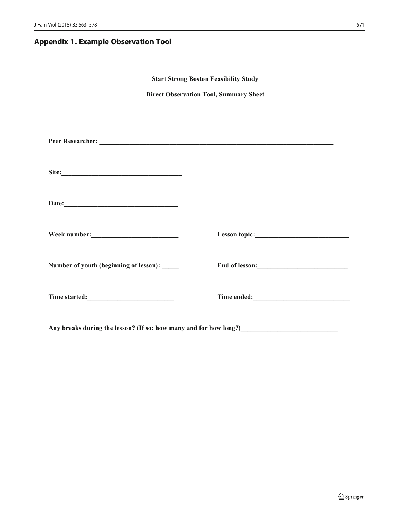## Appendix 1. Example Observation Tool

| <b>Start Strong Boston Feasibility Study</b> |                                                                                    |  |  |  |
|----------------------------------------------|------------------------------------------------------------------------------------|--|--|--|
|                                              | <b>Direct Observation Tool, Summary Sheet</b>                                      |  |  |  |
|                                              |                                                                                    |  |  |  |
|                                              |                                                                                    |  |  |  |
|                                              |                                                                                    |  |  |  |
|                                              |                                                                                    |  |  |  |
|                                              |                                                                                    |  |  |  |
|                                              |                                                                                    |  |  |  |
|                                              |                                                                                    |  |  |  |
|                                              |                                                                                    |  |  |  |
|                                              |                                                                                    |  |  |  |
|                                              |                                                                                    |  |  |  |
| Number of youth (beginning of lesson): _____ | End of lesson:                                                                     |  |  |  |
|                                              |                                                                                    |  |  |  |
|                                              |                                                                                    |  |  |  |
|                                              |                                                                                    |  |  |  |
|                                              | Any breaks during the lesson? (If so: how many and for how long?)<br><u>Lesson</u> |  |  |  |
|                                              |                                                                                    |  |  |  |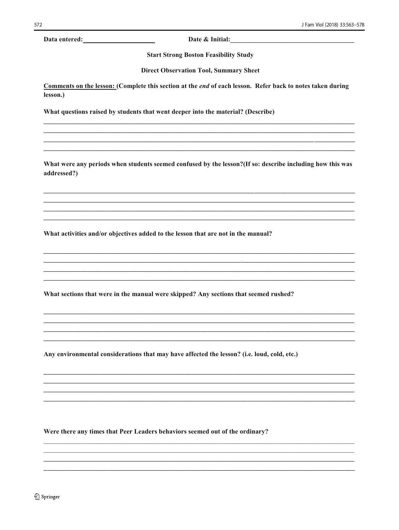Data entered:

Date & Initial:

**Start Strong Boston Feasibility Study** 

**Direct Observation Tool, Summary Sheet** 

Comments on the lesson: (Complete this section at the end of each lesson. Refer back to notes taken during lesson.)

What questions raised by students that went deeper into the material? (Describe)

What were any periods when students seemed confused by the lesson? (If so: describe including how this was addressed?)

What activities and/or objectives added to the lesson that are not in the manual?

What sections that were in the manual were skipped? Any sections that seemed rushed?

Any environmental considerations that may have affected the lesson? (i.e. loud, cold, etc.)

Were there any times that Peer Leaders behaviors seemed out of the ordinary?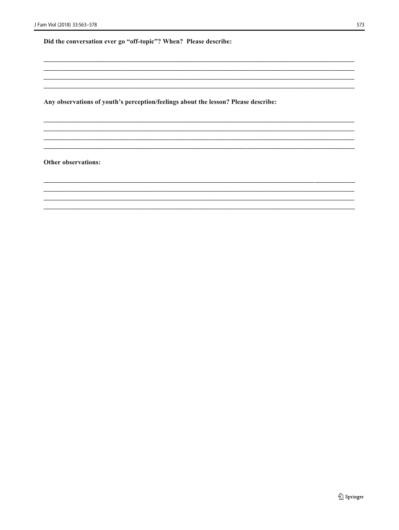Did the conversation ever go "off-topic"? When? Please describe:

Any observations of youth's perception/feelings about the lesson? Please describe:

Other observations: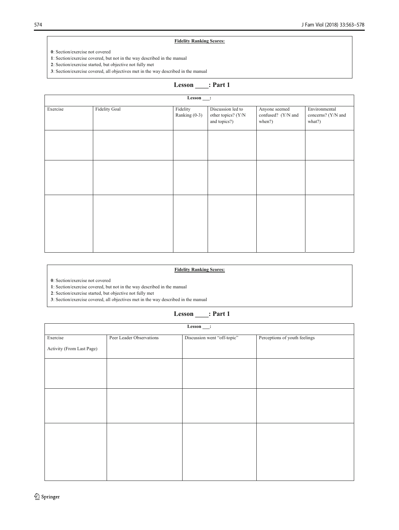### **Fidelity Ranking Scores:**

**1**: Section/exercise covered, but not in the way described in the manual

**2**: Section/exercise started, but objective not fully met

**3**: Section/exercise covered, all objectives met in the way described in the manual

## **Lesson \_\_\_\_: Part 1**

|          |                      | $\overline{\text{Lesson}}$ : |                                                         |                                               |                                               |
|----------|----------------------|------------------------------|---------------------------------------------------------|-----------------------------------------------|-----------------------------------------------|
| Exercise | <b>Fidelity Goal</b> | Fidelity<br>Ranking (0-3)    | Discussion led to<br>other topics? (Y/N<br>and topics?) | Anyone seemed<br>confused? (Y/N and<br>when?) | Environmental<br>concerns? (Y/N and<br>what?) |
|          |                      |                              |                                                         |                                               |                                               |
|          |                      |                              |                                                         |                                               |                                               |
|          |                      |                              |                                                         |                                               |                                               |
|          |                      |                              |                                                         |                                               |                                               |

### **Fidelity Ranking Scores:**

**0**: Section/exercise not covered

**1**: Section/exercise covered, but not in the way described in the manual

**2**: Section/exercise started, but objective not fully met

**3**: Section/exercise covered, all objectives met in the way described in the manual

## **Lesson \_\_\_\_: Part 1**

| $Lesson$ .                |                          |                             |                               |
|---------------------------|--------------------------|-----------------------------|-------------------------------|
| Exercise                  | Peer Leader Observations | Discussion went "off-topic" | Perceptions of youth feelings |
| Activity (From Last Page) |                          |                             |                               |
|                           |                          |                             |                               |
|                           |                          |                             |                               |
|                           |                          |                             |                               |
|                           |                          |                             |                               |
|                           |                          |                             |                               |
|                           |                          |                             |                               |
|                           |                          |                             |                               |
|                           |                          |                             |                               |

**<sup>0</sup>**: Section/exercise not covered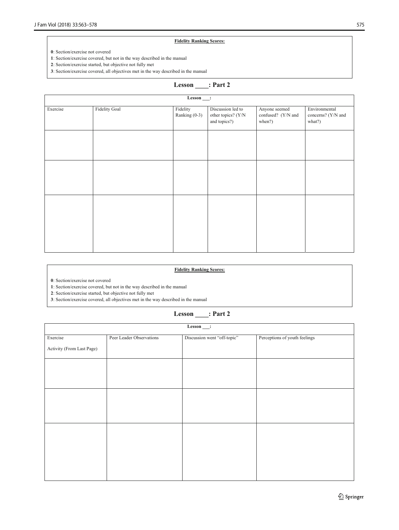#### **Fidelity Ranking Scores:**

**1**: Section/exercise covered, but not in the way described in the manual

**2**: Section/exercise started, but objective not fully met

**3**: Section/exercise covered, all objectives met in the way described in the manual

## **Lesson \_\_\_\_: Part 2**

| $Lesson$ : |                      |                           |                                                         |                                               |                                               |
|------------|----------------------|---------------------------|---------------------------------------------------------|-----------------------------------------------|-----------------------------------------------|
| Exercise   | <b>Fidelity Goal</b> | Fidelity<br>Ranking (0-3) | Discussion led to<br>other topics? (Y/N<br>and topics?) | Anyone seemed<br>confused? (Y/N and<br>when?) | Environmental<br>concerns? (Y/N and<br>what?) |
|            |                      |                           |                                                         |                                               |                                               |
|            |                      |                           |                                                         |                                               |                                               |
|            |                      |                           |                                                         |                                               |                                               |

### **Fidelity Ranking Scores:**

**0**: Section/exercise not covered

**1**: Section/exercise covered, but not in the way described in the manual

**2**: Section/exercise started, but objective not fully met

**3**: Section/exercise covered, all objectives met in the way described in the manual

| Lesson |  | : Part 2 |  |
|--------|--|----------|--|
|        |  |          |  |

| $Lesson$ .                |                          |                             |                               |  |
|---------------------------|--------------------------|-----------------------------|-------------------------------|--|
| Exercise                  | Peer Leader Observations | Discussion went "off-topic" | Perceptions of youth feelings |  |
| Activity (From Last Page) |                          |                             |                               |  |
|                           |                          |                             |                               |  |
|                           |                          |                             |                               |  |
|                           |                          |                             |                               |  |
|                           |                          |                             |                               |  |
|                           |                          |                             |                               |  |
|                           |                          |                             |                               |  |
|                           |                          |                             |                               |  |
|                           |                          |                             |                               |  |

**<sup>0</sup>**: Section/exercise not covered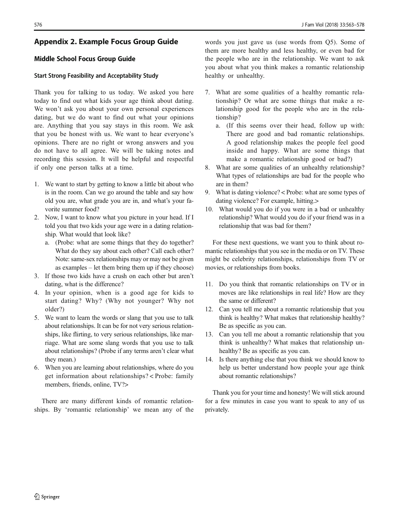## <span id="page-13-0"></span>Appendix 2. Example Focus Group Guide

### Middle School Focus Group Guide

### Start Strong Feasibility and Acceptability Study

Thank you for talking to us today. We asked you here today to find out what kids your age think about dating. We won't ask you about your own personal experiences dating, but we do want to find out what your opinions are. Anything that you say stays in this room. We ask that you be honest with us. We want to hear everyone's opinions. There are no right or wrong answers and you do not have to all agree. We will be taking notes and recording this session. It will be helpful and respectful if only one person talks at a time.

- 1. We want to start by getting to know a little bit about who is in the room. Can we go around the table and say how old you are, what grade you are in, and what's your favorite summer food?
- 2. Now, I want to know what you picture in your head. If I told you that two kids your age were in a dating relationship. What would that look like?
	- a. (Probe: what are some things that they do together? What do they say about each other? Call each other? Note: same-sex relationships may or may not be given as examples – let them bring them up if they choose)
- 3. If those two kids have a crush on each other but aren't dating, what is the difference?
- 4. In your opinion, when is a good age for kids to start dating? Why? (Why not younger? Why not older?)
- 5. We want to learn the words or slang that you use to talk about relationships. It can be for not very serious relationships, like flirting, to very serious relationships, like marriage. What are some slang words that you use to talk about relationships? (Probe if any terms aren't clear what they mean.)
- 6. When you are learning about relationships, where do you get information about relationships? < Probe: family members, friends, online, TV?>

There are many different kinds of romantic relationships. By 'romantic relationship' we mean any of the

words you just gave us (use words from Q5). Some of them are more healthy and less healthy, or even bad for the people who are in the relationship. We want to ask you about what you think makes a romantic relationship healthy or unhealthy.

- 7. What are some qualities of a healthy romantic relationship? Or what are some things that make a relationship good for the people who are in the relationship?
	- a. (If this seems over their head, follow up with: There are good and bad romantic relationships. A good relationship makes the people feel good inside and happy. What are some things that make a romantic relationship good or bad?)
- 8. What are some qualities of an unhealthy relationship? What types of relationships are bad for the people who are in them?
- 9. What is dating violence? < Probe: what are some types of dating violence? For example, hitting.>
- 10. What would you do if you were in a bad or unhealthy relationship? What would you do if your friend was in a relationship that was bad for them?

For these next questions, we want you to think about romantic relationships that you see in the media or on TV. These might be celebrity relationships, relationships from TV or movies, or relationships from books.

- 11. Do you think that romantic relationships on TV or in moves are like relationships in real life? How are they the same or different?
- 12. Can you tell me about a romantic relationship that you think is healthy? What makes that relationship healthy? Be as specific as you can.
- 13. Can you tell me about a romantic relationship that you think is unhealthy? What makes that relationship unhealthy? Be as specific as you can.
- 14. Is there anything else that you think we should know to help us better understand how people your age think about romantic relationships?

Thank you for your time and honesty! We will stick around for a few minutes in case you want to speak to any of us privately.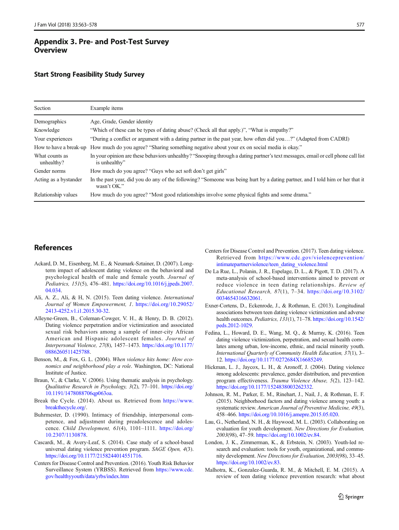## <span id="page-14-0"></span>Appendix 3. Pre- and Post-Test Survey **Overview**

### Start Strong Feasibility Study Survey

| Section                      | Example items                                                                                                                                     |
|------------------------------|---------------------------------------------------------------------------------------------------------------------------------------------------|
| Demographics                 | Age, Grade, Gender identity                                                                                                                       |
| Knowledge                    | "Which of these can be types of dating abuse? (Check all that apply.)", "What is empathy?"                                                        |
| Your experiences             | "During a conflict or argument with a dating partner in the past year, how often did you?" (Adapted from CADRI)                                   |
| How to have a break-up       | How much do you agree? "Sharing something negative about your ex on social media is okay."                                                        |
| What counts as<br>unhealthy? | In your opinion are these behaviors unhealthy? "Snooping through a dating partner's text messages, email or cell phone call list<br>is unhealthy" |
| Gender norms                 | How much do you agree? "Guys who act soft don't get girls"                                                                                        |
| Acting as a bystander        | In the past year, did you do any of the following? "Someone was being hurt by a dating partner, and I told him or her that it<br>wasn't OK."      |
| Relationship values          | How much do you agree? "Most good relationships involve some physical fights and some drama."                                                     |

## **References**

- Ackard, D. M., Eisenberg, M. E., & Neumark-Sztainer, D. (2007). Longterm impact of adolescent dating violence on the behavioral and psychological health of male and female youth. Journal of Pediatrics, 151(5), 476–481. [https://doi.org/10.1016/j.jpeds.2007.](https://doi.org/10.1016/j.jpeds.2007.04.034) [04.034.](https://doi.org/10.1016/j.jpeds.2007.04.034)
- Ali, A. Z., Ali, & H, N. (2015). Teen dating violence. International Journal of Women Empowerment, 1. [https://doi.org/10.29052/](https://doi.org/10.29052/2413-4252.v1.i1.2015.30-32) [2413-4252.v1.i1.2015.30-32](https://doi.org/10.29052/2413-4252.v1.i1.2015.30-32).
- Alleyne-Green, B., Coleman-Cowger, V. H., & Henry, D. B. (2012). Dating violence perpetration and/or victimization and associated sexual risk behaviors among a sample of inner-city African American and Hispanic adolescent females. Journal of Interpersonal Violence, 27(8), 1457–1473. [https://doi.org/10.1177/](https://doi.org/10.1177/0886260511425788) [0886260511425788.](https://doi.org/10.1177/0886260511425788)
- Benson, M., & Fox, G. L. (2004). When violence hits home: How economics and neighborhood play a role. Washington, DC: National Institute of Justice.
- Braun, V., & Clarke, V. (2006). Using thematic analysis in psychology. Qualitative Research in Psychology, 3(2), 77–101. [https://doi.org/](https://doi.org/10.1191/1478088706qp063oa) [10.1191/1478088706qp063oa.](https://doi.org/10.1191/1478088706qp063oa)
- Break the Cycle. (2014). About us. Retrieved from [https://www.](https://www.breakthecycle.org) [breakthecycle.org/](https://www.breakthecycle.org).
- Buhrmester, D. (1990). Intimacy of friendship, interpersonal competence, and adjustment during preadolescence and adolescence. Child Development, 61(4), 1101–1111. [https://doi.org/](https://doi.org/10.2307/1130878) [10.2307/1130878.](https://doi.org/10.2307/1130878)
- Cascardi, M., & Avery-Leaf, S. (2014). Case study of a school-based universal dating violence prevention program. SAGE Open, 4(3). [https://doi.org/10.1177/2158244014551716.](https://doi.org/10.1177/2158244014551716)
- Centers for Disease Control and Prevention. (2016). Youth Risk Behavior Surveillance System (YRBSS). Retrieved from [https://www.cdc.](https://www.cdc.gov/healthyyouth/data/yrbs/index.htm) [gov/healthyyouth/data/yrbs/index.htm](https://www.cdc.gov/healthyyouth/data/yrbs/index.htm)
- Centers for Disease Control and Prevention. (2017). Teen dating violence. Retrieved from [https://www.cdc.gov/violenceprevention/](https://www.cdc.gov/violenceprevention/intimatepartnerviolence/teen_dating_violence.html) [intimatepartnerviolence/teen\\_dating\\_violence.html](https://www.cdc.gov/violenceprevention/intimatepartnerviolence/teen_dating_violence.html)
- De La Rue, L., Polanin, J. R., Espelage, D. L., & Pigott, T. D. (2017). A meta-analysis of school-based interventions aimed to prevent or reduce violence in teen dating relationships. Review of Educational Research, 87(1), 7–34. [https://doi.org/10.3102/](https://doi.org/10.3102/0034654316632061) [0034654316632061](https://doi.org/10.3102/0034654316632061).
- Exner-Cortens, D., Eckenrode, J., & Rothman, E. (2013). Longitudinal associations between teen dating violence victimization and adverse health outcomes. Pediatrics, 131(1), 71-78. [https://doi.org/10.1542/](https://doi.org/10.1542/peds.2012-1029) [peds.2012-1029.](https://doi.org/10.1542/peds.2012-1029)
- Fedina, L., Howard, D. E., Wang, M. Q., & Murray, K. (2016). Teen dating violence victimization, perpetration, and sexual health correlates among urban, low-income, ethnic, and racial minority youth. International Quarterly of Community Health Education, 37(1), 3– 12. <https://doi.org/10.1177/0272684X16685249>.
- Hickman, L. J., Jaycox, L. H., & Aronoff, J. (2004). Dating violence among adolescents: prevalence, gender distribution, and prevention program effectiveness. Trauma Violence Abuse, 5(2), 123–142. [https://doi.org/10.1177/1524838003262332.](https://doi.org/10.1177/1524838003262332)
- Johnson, R. M., Parker, E. M., Rinehart, J., Nail, J., & Rothman, E. F. (2015). Neighborhood factors and dating violence among youth: a systematic review. American Journal of Preventive Medicine, 49(3), 458–466. [https://doi.org/10.1016/j.amepre.2015.05.020.](https://doi.org/10.1016/j.amepre.2015.05.020)
- Lau, G., Netherland, N. H., & Haywood, M. L. (2003). Collaborating on evaluation for youth development. New Directions for Evaluation, 2003(98), 47–59. [https://doi.org/10.1002/ev.84.](https://doi.org/10.1002/ev.84)
- London, J. K., Zimmerman, K., & Erbstein, N. (2003). Youth-led research and evaluation: tools for youth, organizational, and community development. New Directions for Evaluation, 2003(98), 33–45. <https://doi.org/10.1002/ev.83>.
- Malhotra, K., Gonzalez-Guarda, R. M., & Mitchell, E. M. (2015). A review of teen dating violence prevention research: what about